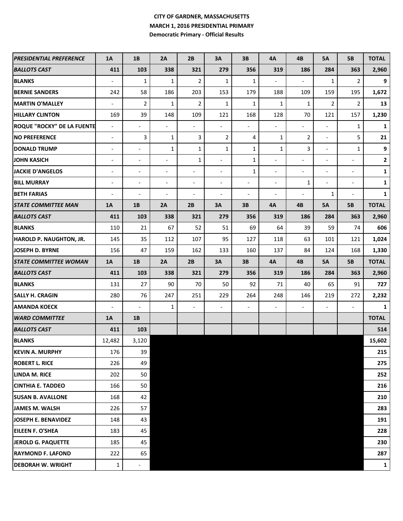# **CITY OF GARDNER, MASSACHUSETTS MARCH 1, 2016 PRESIDENTIAL PRIMARY Democratic Primary - Official Results**

| <b>PRESIDENTIAL PREFERENCE</b>    | 1A                       | 1B                       | 2A                       | 2B                       | 3A                       | 3B                       | 4A                       | 4B                       | <b>5A</b>                | 5B                       | <b>TOTAL</b> |
|-----------------------------------|--------------------------|--------------------------|--------------------------|--------------------------|--------------------------|--------------------------|--------------------------|--------------------------|--------------------------|--------------------------|--------------|
| <b>BALLOTS CAST</b>               | 411                      | 103                      | 338                      | 321                      | 279                      | 356                      | 319                      | 186                      | 284                      | 363                      | 2,960        |
| <b>BLANKS</b>                     | $\blacksquare$           | 1                        | $\mathbf{1}$             | $\overline{2}$           | 1                        | 1                        | $\overline{\phantom{a}}$ | $\overline{\phantom{0}}$ | 1                        | $\overline{2}$           | 9            |
| <b>BERNIE SANDERS</b>             | 242                      | 58                       | 186                      | 203                      | 153                      | 179                      | 188                      | 109                      | 159                      | 195                      | 1,672        |
| <b>MARTIN O'MALLEY</b>            | $\overline{a}$           | 2                        | 1                        | $\overline{2}$           | $\mathbf{1}$             | 1                        | $\mathbf{1}$             | 1                        | $\overline{2}$           | $\overline{2}$           | 13           |
| <b>HILLARY CLINTON</b>            | 169                      | 39                       | 148                      | 109                      | 121                      | 168                      | 128                      | 70                       | 121                      | 157                      | 1,230        |
| <b>ROQUE "ROCKY" DE LA FUENTE</b> | $\overline{\phantom{a}}$ | $\overline{\phantom{a}}$ | $\overline{\phantom{a}}$ | $\overline{\phantom{a}}$ | $\overline{\phantom{a}}$ | $\overline{\phantom{a}}$ | $\overline{\phantom{a}}$ | $\blacksquare$           | $\overline{\phantom{a}}$ | $\mathbf{1}$             | $\mathbf{1}$ |
| <b>NO PREFERENCE</b>              | $\overline{\phantom{a}}$ | 3                        | 1                        | 3                        | 2                        | 4                        | 1                        | 2                        | $\overline{\phantom{a}}$ | 5                        | 21           |
| <b>DONALD TRUMP</b>               | $\blacksquare$           | $\overline{\phantom{a}}$ | 1                        | $\mathbf{1}$             | $\mathbf{1}$             | 1                        | $\mathbf{1}$             | 3                        | $\overline{\phantom{a}}$ | $\mathbf{1}$             | 9            |
| <b>JOHN KASICH</b>                | $\overline{\phantom{a}}$ | $\overline{\phantom{a}}$ | $\overline{\phantom{a}}$ | 1                        | $\blacksquare$           | 1                        | $\overline{\phantom{a}}$ | $\overline{\phantom{a}}$ | $\overline{\phantom{a}}$ | $\overline{a}$           | $\mathbf{2}$ |
| <b>JACKIE D'ANGELOS</b>           | $\overline{\phantom{a}}$ | $\overline{\phantom{a}}$ | $\overline{\phantom{a}}$ | $\overline{\phantom{a}}$ | $\blacksquare$           | 1                        | $\overline{\phantom{a}}$ | $\overline{a}$           | $\overline{a}$           | $\blacksquare$           | $\mathbf{1}$ |
| <b>BILL MURRAY</b>                | $\blacksquare$           | $\blacksquare$           | $\blacksquare$           | $\overline{a}$           | $\blacksquare$           | $\blacksquare$           | $\blacksquare$           | 1                        | $\blacksquare$           | $\sim$                   | $\mathbf{1}$ |
| <b>BETH FARIAS</b>                | $\overline{\phantom{a}}$ | $\overline{\phantom{a}}$ | $\overline{\phantom{a}}$ | $\overline{\phantom{a}}$ | $\overline{a}$           | $\overline{\phantom{a}}$ | $\overline{\phantom{a}}$ | $\overline{a}$           | 1                        | $\overline{\phantom{a}}$ | $\mathbf{1}$ |
| <b>STATE COMMITTEE MAN</b>        | 1A                       | 1B                       | 2A                       | 2B                       | 3A                       | 3B                       | 4A                       | 4B                       | <b>5A</b>                | <b>5B</b>                | <b>TOTAL</b> |
| <b>BALLOTS CAST</b>               | 411                      | 103                      | 338                      | 321                      | 279                      | 356                      | 319                      | 186                      | 284                      | 363                      | 2,960        |
| <b>BLANKS</b>                     | 110                      | 21                       | 67                       | 52                       | 51                       | 69                       | 64                       | 39                       | 59                       | 74                       | 606          |
| <b>HAROLD P. NAUGHTON, JR.</b>    | 145                      | 35                       | 112                      | 107                      | 95                       | 127                      | 118                      | 63                       | 101                      | 121                      | 1,024        |
| JOSEPH D. BYRNE                   | 156                      | 47                       | 159                      | 162                      | 133                      | 160                      | 137                      | 84                       | 124                      | 168                      | 1,330        |
| <b>STATE COMMITTEE WOMAN</b>      | 1A                       | 1B                       | 2A                       | 2B                       | 3A                       | 3B                       | 4A                       | 4B                       | 5А                       | <b>5B</b>                | <b>TOTAL</b> |
| <b>BALLOTS CAST</b>               | 411                      | 103                      | 338                      | 321                      | 279                      | 356                      | 319                      | 186                      | 284                      | 363                      | 2,960        |
| <b>BLANKS</b>                     | 131                      | 27                       | 90                       | 70                       | 50                       | 92                       | 71                       | 40                       | 65                       | 91                       | 727          |
| <b>SALLY H. CRAGIN</b>            | 280                      | 76                       | 247                      | 251                      | 229                      | 264                      | 248                      | 146                      | 219                      | 272                      | 2,232        |
| <b>AMANDA KOECK</b>               | $\blacksquare$           | $\blacksquare$           | 1                        | $\overline{\phantom{a}}$ | $\overline{\phantom{a}}$ | $\overline{\phantom{a}}$ | $\overline{\phantom{a}}$ | $\overline{\phantom{a}}$ | $\overline{\phantom{a}}$ | $\overline{\phantom{a}}$ | $\mathbf{1}$ |
| <b>WARD COMMITTEE</b>             | 1A                       | 1B                       |                          |                          |                          |                          |                          |                          |                          |                          | <b>TOTAL</b> |
| <b>BALLOTS CAST</b>               | 411                      | 103                      |                          |                          |                          |                          |                          |                          |                          |                          | 514          |
| <b>BLANKS</b>                     | 12,482                   | 3,120                    |                          |                          |                          |                          |                          |                          |                          |                          | 15,602       |
| <b>KEVIN A. MURPHY</b>            | 176                      | 39                       |                          |                          |                          |                          |                          |                          |                          |                          | 215          |
| <b>ROBERT L. RICE</b>             | 226                      | 49                       |                          |                          |                          |                          |                          |                          |                          |                          | 275          |
| <b>LINDA M. RICE</b>              | 202                      | 50                       |                          |                          |                          |                          |                          |                          |                          |                          | 252          |
| CINTHIA E. TADDEO                 | 166                      | 50                       |                          |                          |                          |                          |                          |                          |                          |                          | 216          |
| <b>SUSAN B. AVALLONE</b>          | 168                      | 42                       |                          |                          |                          |                          |                          |                          |                          |                          | 210          |
| JAMES M. WALSH                    | 226                      | 57                       |                          |                          |                          |                          |                          |                          |                          |                          | 283          |
| JOSEPH E. BENAVIDEZ               | 148                      | 43                       |                          |                          |                          |                          |                          |                          |                          |                          | 191          |
| <b>EILEEN F. O'SHEA</b>           | 183                      | 45                       |                          |                          |                          |                          |                          |                          |                          |                          | 228          |
| JEROLD G. PAQUETTE                | 185                      | 45                       |                          |                          |                          |                          |                          |                          |                          |                          | 230          |
| <b>RAYMOND F. LAFOND</b>          | 222                      | 65                       |                          |                          |                          |                          |                          |                          |                          |                          | 287          |
| DEBORAH W. WRIGHT                 | $\mathbf{1}$             | $\overline{\phantom{a}}$ |                          |                          |                          |                          |                          |                          |                          |                          | $\mathbf{1}$ |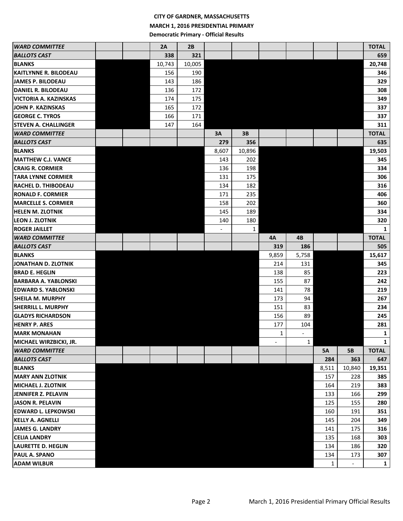## **CITY OF GARDNER, MASSACHUSETTS MARCH 1, 2016 PRESIDENTIAL PRIMARY Democratic Primary - Official Results**

| <b>WARD COMMITTEE</b>                          |  | 2A     | 2B     |       |              |                          |              |            |                          | <b>TOTAL</b> |
|------------------------------------------------|--|--------|--------|-------|--------------|--------------------------|--------------|------------|--------------------------|--------------|
| BALLOTS CAST                                   |  | 338    | 321    |       |              |                          |              |            |                          | 659          |
| <b>BLANKS</b>                                  |  | 10,743 | 10,005 |       |              |                          |              |            |                          | 20,748       |
| <b>KAITLYNNE R. BILODEAU</b>                   |  | 156    | 190    |       |              |                          |              |            |                          | 346          |
| <b>JAMES P. BILODEAU</b>                       |  | 143    | 186    |       |              |                          |              |            |                          | 329          |
| DANIEL R. BILODEAU                             |  | 136    | 172    |       |              |                          |              |            |                          | 308          |
| VICTORIA A. KAZINSKAS                          |  | 174    | 175    |       |              |                          |              |            |                          | 349          |
| JOHN P. KAZINSKAS                              |  | 165    | 172    |       |              |                          |              |            |                          | 337          |
| <b>GEORGE C. TYROS</b>                         |  | 166    | 171    |       |              |                          |              |            |                          | 337          |
| <b>STEVEN A. CHALLINGER</b>                    |  | 147    | 164    |       |              |                          |              |            |                          | 311          |
| <b>WARD COMMITTEE</b>                          |  |        |        | 3A    | 3В           |                          |              |            |                          | <b>TOTAL</b> |
| BALLOTS CAST                                   |  |        |        | 279   | 356          |                          |              |            |                          | 635          |
| <b>BLANKS</b>                                  |  |        |        | 8,607 | 10,896       |                          |              |            |                          | 19,503       |
| <b>MATTHEW C.J. VANCE</b>                      |  |        |        | 143   | 202          |                          |              |            |                          | 345          |
| <b>CRAIG R. CORMIER</b>                        |  |        |        | 136   | 198          |                          |              |            |                          | 334          |
| <b>TARA LYNNE CORMIER</b>                      |  |        |        | 131   | 175          |                          |              |            |                          | 306          |
| <b>RACHEL D. THIBODEAU</b>                     |  |        |        | 134   | 182          |                          |              |            |                          | 316          |
| <b>RONALD F. CORMIER</b>                       |  |        |        | 171   | 235          |                          |              |            |                          | 406          |
| <b>MARCELLE S. CORMIER</b>                     |  |        |        | 158   | 202          |                          |              |            |                          | 360          |
| <b>HELEN M. ZLOTNIK</b>                        |  |        |        | 145   | 189          |                          |              |            |                          | 334          |
| <b>LEON J. ZLOTNIK</b>                         |  |        |        | 140   | 180          |                          |              |            |                          | 320          |
| <b>ROGER JAILLET</b>                           |  |        |        |       | $\mathbf{1}$ |                          |              |            |                          | 1            |
| <b>WARD COMMITTEE</b>                          |  |        |        |       |              | 4А                       | 4B           |            |                          | <b>TOTAL</b> |
| <b>BALLOTS CAST</b>                            |  |        |        |       |              | 319                      | 186          |            |                          | 505          |
| <b>BLANKS</b>                                  |  |        |        |       |              | 9,859                    | 5,758        |            |                          | 15,617       |
| JONATHAN D. ZLOTNIK                            |  |        |        |       |              | 214                      | 131          |            |                          | 345          |
| <b>BRAD E. HEGLIN</b>                          |  |        |        |       |              | 138                      | 85           |            |                          | 223          |
| BARBARA A. YABLONSKI                           |  |        |        |       |              | 155                      | 87           |            |                          | 242          |
| <b>EDWARD S. YABLONSKI</b>                     |  |        |        |       |              | 141                      | 78           |            |                          | 219          |
| <b>SHEILA M. MURPHY</b>                        |  |        |        |       |              | 173                      | 94           |            |                          | 267          |
| <b>SHERRILL L. MURPHY</b>                      |  |        |        |       |              | 151                      | 83           |            |                          | 234          |
| <b>GLADYS RICHARDSON</b>                       |  |        |        |       |              | 156                      | 89           |            |                          | 245          |
| <b>HENRY P. ARES</b>                           |  |        |        |       |              | 177                      | 104          |            |                          | 281          |
| <b>MARK MONAHAN</b>                            |  |        |        |       |              | $\mathbf{1}$             |              |            |                          | $\mathbf{1}$ |
| MICHAEL WIRZBICKI, JR.                         |  |        |        |       |              | $\overline{\phantom{a}}$ | $\mathbf{1}$ |            |                          | $\mathbf{1}$ |
| <b>WARD COMMITTEE</b>                          |  |        |        |       |              |                          |              | 5А         | 5B                       | <b>TOTAL</b> |
| <b>BALLOTS CAST</b>                            |  |        |        |       |              |                          |              | 284        | 363                      | 647          |
| <b>BLANKS</b>                                  |  |        |        |       |              |                          |              | 8,511      | 10,840                   | 19,351       |
| <b>MARY ANN ZLOTNIK</b>                        |  |        |        |       |              |                          |              | 157<br>164 | 228                      | 385          |
| <b>MICHAEL J. ZLOTNIK</b>                      |  |        |        |       |              |                          |              |            | 219<br>166               | 383          |
| JENNIFER Z. PELAVIN<br><b>JASON R. PELAVIN</b> |  |        |        |       |              |                          |              | 133<br>125 | 155                      | 299<br>280   |
| <b>EDWARD L. LEPKOWSKI</b>                     |  |        |        |       |              |                          |              | 160        | 191                      | 351          |
| <b>KELLY A. AGNELLI</b>                        |  |        |        |       |              |                          |              | 145        | 204                      | 349          |
| <b>JAMES G. LANDRY</b>                         |  |        |        |       |              |                          |              | 141        | 175                      | 316          |
| <b>CELIA LANDRY</b>                            |  |        |        |       |              |                          |              | 135        | 168                      | 303          |
| <b>LAURETTE D. HEGLIN</b>                      |  |        |        |       |              |                          |              | 134        | 186                      | 320          |
| <b>PAUL A. SPANO</b>                           |  |        |        |       |              |                          |              | 134        | 173                      | 307          |
| <b>ADAM WILBUR</b>                             |  |        |        |       |              |                          |              | 1          | $\overline{\phantom{a}}$ | $\mathbf{1}$ |
|                                                |  |        |        |       |              |                          |              |            |                          |              |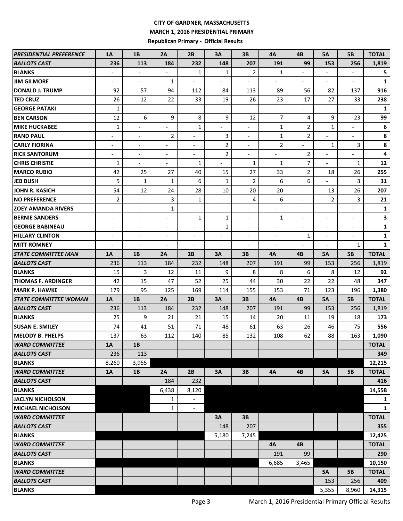# **CITY OF GARDNER, MASSACHUSETTS MARCH 1, 2016 PRESIDENTIAL PRIMARY Republican Primary - Official Results**

| <b>PRESIDENTIAL PREFERENCE</b> | 1A                           | 1B                       | 2A                       | 2B                       | 3A                       | 3B                       | 4A                       | 4B                       | <b>5A</b>                | 5B                       | <b>TOTAL</b> |
|--------------------------------|------------------------------|--------------------------|--------------------------|--------------------------|--------------------------|--------------------------|--------------------------|--------------------------|--------------------------|--------------------------|--------------|
| <b>BALLOTS CAST</b>            | 236                          | 113                      | 184                      | 232                      | 148                      | 207                      | 191                      | 99                       | 153                      | 256                      | 1,819        |
| <b>BLANKS</b>                  | $\qquad \qquad \blacksquare$ |                          |                          | $\mathbf{1}$             | 1                        | $\overline{2}$           | $\mathbf{1}$             | $\overline{\phantom{a}}$ |                          |                          | 5            |
| <b>JIM GILMORE</b>             | $\overline{\phantom{m}}$     | $\overline{a}$           | 1                        | $\overline{a}$           | $\overline{a}$           | $\overline{a}$           | $\overline{a}$           | $\overline{\phantom{a}}$ | $\blacksquare$           | $\overline{a}$           | 1            |
| <b>DONALD J. TRUMP</b>         | 92                           | 57                       | 94                       | 112                      | 84                       | 113                      | 89                       | 56                       | 82                       | 137                      | 916          |
| <b>TED CRUZ</b>                | 26                           | 12                       | 22                       | 33                       | 19                       | 26                       | 23                       | 17                       | 27                       | 33                       | 238          |
| <b>GEORGE PATAKI</b>           | $\mathbf{1}$                 |                          |                          |                          | $\overline{a}$           |                          |                          |                          |                          |                          | 1            |
| <b>BEN CARSON</b>              | 12                           | 6                        | 9                        | 8                        | 9                        | 12                       | 7                        | 4                        | 9                        | 23                       | 99           |
| <b>MIKE HUCKABEE</b>           | 1                            | $\blacksquare$           | $\overline{\phantom{a}}$ | $\mathbf{1}$             | $\blacksquare$           | $\overline{a}$           | $\mathbf{1}$             | 2                        | 1                        | $\overline{a}$           | 6            |
| <b>RAND PAUL</b>               | $\overline{\phantom{a}}$     | $\blacksquare$           | $\overline{2}$           | $\overline{a}$           | 3                        | $\overline{\phantom{a}}$ | $\mathbf{1}$             | $\overline{2}$           | $\frac{1}{2}$            | $\blacksquare$           | 8            |
| <b>CARLY FIORINA</b>           | $\overline{\phantom{a}}$     | $\overline{a}$           | $\overline{a}$           | $\overline{\phantom{a}}$ | $\overline{2}$           | $\overline{a}$           | $\overline{2}$           | $\overline{\phantom{a}}$ | $\mathbf{1}$             | 3                        | 8            |
| <b>RICK SANTORUM</b>           | $\overline{\phantom{a}}$     | $\overline{\phantom{a}}$ | $\overline{\phantom{a}}$ | $\overline{\phantom{a}}$ | $\overline{2}$           | $\overline{\phantom{a}}$ | $\overline{\phantom{a}}$ | $\overline{2}$           | $\blacksquare$           | $\overline{a}$           | 4            |
| <b>CHRIS CHRISTIE</b>          | 1                            |                          | $\overline{\phantom{a}}$ | 1                        | $\overline{\phantom{0}}$ | 1                        | 1                        | $\overline{7}$           | $\overline{\phantom{a}}$ | 1                        | 12           |
| <b>MARCO RUBIO</b>             | 42                           | 25                       | 27                       | 40                       | 15                       | 27                       | 33                       | $\overline{2}$           | 18                       | 26                       | 255          |
| <b>JEB BUSH</b>                | 5                            | $\mathbf{1}$             | $\mathbf{1}$             | 6                        | 1                        | 2                        | 6                        | 6                        |                          | 3                        | 31           |
| JOHN R. KASICH                 | 54                           | 12                       | 24                       | 28                       | 10                       | 20                       | 20                       | $\overline{a}$           | 13                       | 26                       | 207          |
| <b>NO PREFERENCE</b>           | 2                            | $\overline{a}$           | 3                        | $\mathbf{1}$             | ÷,                       | 4                        | 6                        | $\overline{\phantom{a}}$ | $\overline{2}$           | 3                        | 21           |
| <b>ZOEY AMANDA RIVERS</b>      | $\overline{\phantom{a}}$     | $\overline{\phantom{a}}$ | $\mathbf{1}$             |                          |                          | $\overline{\phantom{a}}$ | $\overline{\phantom{a}}$ |                          |                          | $\overline{\phantom{a}}$ | 1            |
| <b>BERNIE SANDERS</b>          | $\overline{\phantom{m}}$     | $\overline{\phantom{a}}$ | $\overline{\phantom{a}}$ | $\mathbf{1}$             | 1                        | $\overline{\phantom{a}}$ | $\mathbf{1}$             | $\overline{\phantom{a}}$ | $\overline{\phantom{a}}$ | $\overline{a}$           | $\mathbf{3}$ |
| <b>GEORGE BABINEAU</b>         | $\overline{\phantom{a}}$     | $\blacksquare$           | $\overline{\phantom{a}}$ | $\overline{\phantom{m}}$ | $\mathbf{1}$             | $\overline{\phantom{a}}$ | $\overline{\phantom{0}}$ | $\overline{a}$           | $\overline{\phantom{a}}$ | $\overline{\phantom{a}}$ | 1            |
| <b>HILLARY CLINTON</b>         | $\blacksquare$               | $\overline{a}$           | $\overline{\phantom{a}}$ | $\overline{\phantom{a}}$ | $\overline{a}$           | $\overline{\phantom{a}}$ | $\blacksquare$           | 1                        | $\overline{\phantom{a}}$ | $\overline{a}$           | $\mathbf{1}$ |
| <b>MITT ROMNEY</b>             | $\overline{\phantom{a}}$     | $\overline{a}$           |                          | $\overline{a}$           | ÷,                       | $\overline{\phantom{a}}$ | $\blacksquare$           | $\overline{\phantom{a}}$ | $\overline{a}$           | $\mathbf{1}$             | $\mathbf{1}$ |
| <b>STATE COMMITTEE MAN</b>     | 1A                           | 1B                       | 2A                       | 2B                       | 3A                       | 3В                       | 4A                       | 4B                       | <b>5A</b>                | <b>5B</b>                | <b>TOTAL</b> |
| <b>BALLOTS CAST</b>            | 236                          | 113                      | 184                      | 232                      | 148                      | 207                      | 191                      | 99                       | 153                      | 256                      | 1,819        |
| <b>BLANKS</b>                  | 15                           | 3                        | 12                       | 11                       | 9                        | 8                        | 8                        | 6                        | 8                        | 12                       | 92           |
| <b>THOMAS F. ARDINGER</b>      | 42                           | 15                       | 47                       | 52                       | 25                       | 44                       | 30                       | 22                       | 22                       | 48                       | 347          |
| <b>MARK P. HAWKE</b>           | 179                          | 95                       | 125                      | 169                      | 114                      | 155                      | 153                      | 71                       | 123                      | 196                      | 1,380        |
| <b>STATE COMMITTEE WOMAN</b>   | 1A                           | 1B                       | 2A                       | 2B                       | 3A                       | 3В                       | 4A                       | 4B                       | 5А                       | 5B                       | <b>TOTAL</b> |
| <b>BALLOTS CAST</b>            | 236                          | 113                      | 184                      | 232                      | 148                      | 207                      | 191                      | 99                       | 153                      | 256                      | 1,819        |
| <b>BLANKS</b>                  | 25                           | 9                        | 21                       | 21                       | 15                       | 14                       | 20                       | 11                       | 19                       | 18                       | 173          |
| <b>SUSAN E. SMILEY</b>         | 74                           | 41                       | 51                       | 71                       | 48                       | 61                       | 63                       | 26                       | 46                       | 75                       | 556          |
| <b>MELODY B. PHELPS</b>        | 137                          | 63                       | 112                      | 140                      | 85                       | 132                      | 108                      | 62                       | 88                       | 163                      | 1,090        |
| <b>WARD COMMITTEE</b>          | 1A                           | $1B$                     |                          |                          |                          |                          |                          |                          |                          |                          | <b>TOTAL</b> |
| <b>BALLOTS CAST</b>            | 236                          | 113                      |                          |                          |                          |                          |                          |                          |                          |                          | 349          |
| <b>BLANKS</b>                  | 8,260                        | 3,955                    |                          |                          |                          |                          |                          |                          |                          |                          | 12,215       |
| <b>WARD COMMITTEE</b>          | 1A                           | 1B                       | 2A                       | 2B                       | 3A                       | 3B                       | 4A                       | 4B                       | 5A                       | <b>5B</b>                | <b>TOTAL</b> |
| <b>BALLOTS CAST</b>            |                              |                          | 184                      | 232                      |                          |                          |                          |                          |                          |                          | 416          |
| <b>BLANKS</b>                  |                              |                          | 6,438                    | 8,120                    |                          |                          |                          |                          |                          |                          | 14,558       |
| <b>JACLYN NICHOLSON</b>        |                              |                          | 1                        |                          |                          |                          |                          |                          |                          |                          | 1            |
| <b>MICHAEL NICHOLSON</b>       |                              |                          | 1                        | $\overline{\phantom{a}}$ |                          |                          |                          |                          |                          |                          | $\mathbf{1}$ |
| <b>WARD COMMITTEE</b>          |                              |                          |                          |                          | <b>3A</b>                | 3B                       |                          |                          |                          |                          | <b>TOTAL</b> |
| <b>BALLOTS CAST</b>            |                              |                          |                          |                          | 148                      | 207                      |                          |                          |                          |                          | 355          |
| <b>BLANKS</b>                  |                              |                          |                          |                          | 5,180                    | 7,245                    |                          |                          |                          |                          | 12,425       |
| <b>WARD COMMITTEE</b>          |                              |                          |                          |                          |                          |                          | 4A                       | 4B                       |                          |                          | <b>TOTAL</b> |
| <b>BALLOTS CAST</b>            |                              |                          |                          |                          |                          |                          | 191                      | 99                       |                          |                          | 290          |
| <b>BLANKS</b>                  |                              |                          |                          |                          |                          |                          | 6,685                    | 3,465                    |                          |                          | 10,150       |
| <b>WARD COMMITTEE</b>          |                              |                          |                          |                          |                          |                          |                          |                          | <b>5A</b>                | 5B                       | <b>TOTAL</b> |
| <b>BALLOTS CAST</b>            |                              |                          |                          |                          |                          |                          |                          |                          | 153                      | 256                      | 409          |
| <b>BLANKS</b>                  |                              |                          |                          |                          |                          |                          |                          |                          | 5,355                    | 8,960                    | 14,315       |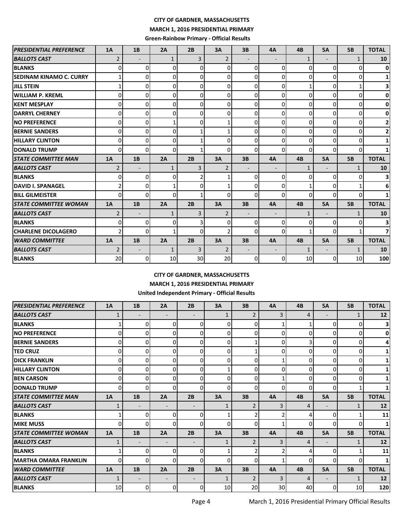### **CITY OF GARDNER, MASSACHUSETTS**

#### **MARCH 1, 2016 PRESIDENTIAL PRIMARY**

 **Green-Rainbow Primary - Official Results**

| <b>PRESIDENTIAL PREFERENCE</b>  | 1A             | 1B                       | 2A           | 2B       | 3A             | 3B                       | 4A                       | 4B           | <b>5A</b>                | <b>5B</b>    | <b>TOTAL</b>            |
|---------------------------------|----------------|--------------------------|--------------|----------|----------------|--------------------------|--------------------------|--------------|--------------------------|--------------|-------------------------|
| <b>BALLOTS CAST</b>             | $\overline{2}$ | $\blacksquare$           | 1            | 3        | $\overline{2}$ | $\overline{\phantom{a}}$ | $\overline{\phantom{a}}$ | $\mathbf{1}$ | $\overline{\phantom{a}}$ | 1            | 10                      |
| <b>BLANKS</b>                   | 0              | 0                        | 0            | 0        | $\overline{0}$ | 0                        | 0                        | 0            | $\Omega$                 | 0            | 0                       |
| <b>ISEDINAM KINAMO C. CURRY</b> |                | $\Omega$                 | 0            | $\Omega$ | $\Omega$       | $\Omega$                 | $\Omega$                 | $\Omega$     | $\Omega$                 | 0            | 1                       |
| <b>JILL STEIN</b>               |                | 0                        | 0            | 0        | $\Omega$       | $\mathbf 0$              | 0                        |              | $\Omega$                 |              | 3                       |
| <b>WILLIAM P. KREML</b>         | $\Omega$       | 0                        | 0            | 0        | $\Omega$       | $\Omega$                 | $\Omega$                 | 0            | $\Omega$                 | <sup>0</sup> | $\mathbf{0}$            |
| <b>KENT MESPLAY</b>             | $\Omega$       | 0                        | 0            | 0        | $\Omega$       | 0                        | 0                        | 0            | $\Omega$                 | 0            | $\mathbf{0}$            |
| <b>DARRYL CHERNEY</b>           | $\overline{0}$ | 0                        | 0            | 0        | $\Omega$       | $\mathbf 0$              | 0                        | 0            | $\Omega$                 | 0            | 0                       |
| <b>INO PREFERENCE</b>           | $\Omega$       | $\Omega$                 | $\mathbf{1}$ | $\Omega$ |                | $\mathbf 0$              | 0                        | $\Omega$     | $\Omega$                 | 0            | 2                       |
| <b>BERNIE SANDERS</b>           | $\Omega$       | $\Omega$                 | 0            |          |                | $\Omega$                 | 0                        | 0            | $\Omega$                 | 0            | $\overline{2}$          |
| <b>HILLARY CLINTON</b>          | $\Omega$       | 0                        | 0            |          | 0              | 0                        | 0                        | $\Omega$     | $\Omega$                 | 0            | 1                       |
| <b>DONALD TRUMP</b>             | $\Omega$       | 0                        | $\Omega$     |          | $\Omega$       | $\Omega$                 | $\Omega$                 | $\Omega$     | $\Omega$                 | 0            | 1                       |
|                                 |                |                          |              |          |                |                          |                          |              |                          |              |                         |
| <b>STATE COMMITTEE MAN</b>      | 1A             | 1B                       | 2A           | 2B       | 3A             | 3B                       | 4A                       | 4B           | <b>5A</b>                | <b>5B</b>    | <b>TOTAL</b>            |
| <b>BALLOTS CAST</b>             | $\overline{2}$ | $\overline{\phantom{a}}$ | $\mathbf{1}$ | 3        | $\overline{2}$ | $\overline{\phantom{a}}$ | $\overline{\phantom{a}}$ | $\mathbf{1}$ | $\overline{\phantom{0}}$ | $\mathbf{1}$ | 10                      |
| <b>BLANKS</b>                   | $\Omega$       | 0                        | 0            | 2        |                | 0                        | 0                        | 0            | $\Omega$                 | 0            | 3                       |
| <b>DAVID I. SPANAGEL</b>        | 2              | $\Omega$                 | $\mathbf{1}$ | 0        |                | 0                        | 0                        |              | $\Omega$                 |              | 6                       |
| <b>BILL GILMEISTER</b>          | <sup>0</sup>   | 0                        | 0            |          | <sup>0</sup>   | $\Omega$                 | 0                        | $\Omega$     | <sup>0</sup>             |              | $\mathbf{1}$            |
| <b>STATE COMMITTEE WOMAN</b>    | 1A             | 1B                       | 2A           | 2B       | 3A             | 3B                       | 4A                       | 4B           | <b>5A</b>                | <b>5B</b>    | <b>TOTAL</b>            |
| <b>BALLOTS CAST</b>             | $\overline{2}$ | $\overline{\phantom{a}}$ | $\mathbf{1}$ | 3        | $\overline{2}$ | $\overline{\phantom{a}}$ | $\overline{\phantom{a}}$ | $\mathbf{1}$ | $\overline{\phantom{a}}$ | $\mathbf{1}$ | 10                      |
| <b>BLANKS</b>                   | 0              | 0                        | 0            | 3        | $\Omega$       | 0                        | $\overline{0}$           | $\Omega$     | 0                        | 0            | 3                       |
| <b>CHARLENE DICOLAGERO</b>      |                | $\Omega$                 | 1            | $\Omega$ |                | $\Omega$                 | $\Omega$                 |              | $\Omega$                 |              | $\overline{\mathbf{z}}$ |
| <b>WARD COMMITTEE</b>           | 1A             | 1B                       | 2A           | 2B       | 3A             | 3B                       | 4A                       | 4B           | <b>5A</b>                | <b>5B</b>    | <b>TOTAL</b>            |
| <b>BALLOTS CAST</b>             | 2              | $\overline{\phantom{a}}$ | $\mathbf{1}$ | 3        | $\overline{2}$ | $\overline{\phantom{a}}$ | $\overline{\phantom{a}}$ | $\mathbf{1}$ | $\overline{\phantom{a}}$ | $\mathbf{1}$ | 10                      |

#### **CITY OF GARDNER, MASSACHUSETTS**

**MARCH 1, 2016 PRESIDENTIAL PRIMARY**

#### **United Independent Primary - Official Results**

| <b>PRESIDENTIAL PREFERENCE</b> | 1A           | 1B                       | 2A                       | 2B                       | 3A             | 3B             | 4A              | 4B       | <b>5A</b>                    | <b>5B</b>    | <b>TOTAL</b> |
|--------------------------------|--------------|--------------------------|--------------------------|--------------------------|----------------|----------------|-----------------|----------|------------------------------|--------------|--------------|
| <b>BALLOTS CAST</b>            |              |                          | $\overline{\phantom{a}}$ | $\overline{\phantom{0}}$ | $\mathbf{1}$   | $\overline{2}$ | 3               | 4        | $\overline{\phantom{a}}$     | $\mathbf{1}$ | 12           |
| <b>BLANKS</b>                  |              | 0                        | 0                        | $\overline{0}$           | $\Omega$       | 0              |                 |          | 0                            | $\Omega$     | 31           |
| <b>NO PREFERENCE</b>           | 0            | 0                        | 0                        | 0                        | 0              | 0              | 0               | $\Omega$ | 0                            | $\Omega$     | $\mathbf{0}$ |
| <b>BERNIE SANDERS</b>          | 0            | 0                        | 0                        | 0                        | $\overline{0}$ |                | 0               | 3        | 0                            | 0            | 4            |
| <b>TED CRUZ</b>                | 0            | $\Omega$                 | $\overline{0}$           | $\Omega$                 | $\Omega$       | 1              | 0               | $\Omega$ | 0                            | 0            |              |
| <b>DICK FRANKLIN</b>           | 0            | 0                        | 0                        | $\Omega$                 | $\Omega$       | 0              |                 | 0        | 0                            | $\Omega$     |              |
| <b>HILLARY CLINTON</b>         |              | 0                        | $\overline{0}$           | $\Omega$                 | 1              | 0              | 0               | 0        | 0                            | $\Omega$     |              |
| <b>BEN CARSON</b>              | 0            | 0                        | $\Omega$                 | 0                        | 0              | 0              |                 | $\Omega$ | 0                            | 0            |              |
| <b>DONALD TRUMP</b>            | 0            | 0                        | $\Omega$                 | $\Omega$                 | ΩI             | $\Omega$       | $\Omega$        | $\Omega$ | 0                            |              |              |
| <b>STATE COMMITTEE MAN</b>     | 1A           | 1B                       | 2A                       | 2B                       | 3A             | 3B             | 4A              | 4B       | <b>5A</b>                    | <b>5B</b>    | <b>TOTAL</b> |
| <b>BALLOTS CAST</b>            |              | $\overline{\phantom{a}}$ | $\overline{\phantom{a}}$ | $\overline{\phantom{0}}$ | $\mathbf{1}$   | $\overline{2}$ | 3               | 4        | $\overline{\phantom{a}}$     | $\mathbf{1}$ | 12           |
| <b>BLANKS</b>                  |              | 0                        | 01                       | 0                        |                | 2              |                 | 4        | 0                            |              | 11           |
| <b>MIKE MUSS</b>               | <sup>0</sup> | 0                        | $\Omega$                 | $\Omega$                 | $\Omega$       | 0              |                 | $\Omega$ | 0                            | <sup>0</sup> |              |
| <b>STATE COMMITTEE WOMAN</b>   | 1A           | 1B                       | 2A                       | 2B                       | 3A             | 3B             | 4A              | 4B       | <b>5A</b>                    | <b>5B</b>    | <b>TOTAL</b> |
| <b>BALLOTS CAST</b>            |              |                          | $\overline{\phantom{a}}$ | $\overline{\phantom{0}}$ | $\mathbf{1}$   | $\overline{2}$ | 3               | 4        | $\qquad \qquad \blacksquare$ | $\mathbf{1}$ | 12           |
| <b>BLANKS</b>                  |              | 0                        | 0                        | $\overline{0}$           |                | $\mathcal{P}$  |                 | Δ        | 0                            |              | 11           |
| IMARTHA OMARA FRANKLIN         | <sup>0</sup> | 0                        | $\Omega$                 | $\Omega$                 | $\Omega$       | 0              |                 | 0        | <sup>0</sup>                 | <sup>0</sup> |              |
| <b>WARD COMMITTEE</b>          | 1A           | 1B                       | 2A                       | 2B                       | 3A             | 3B             | 4A              | 4B       | <b>5A</b>                    | <b>5B</b>    | <b>TOTAL</b> |
| <b>BALLOTS CAST</b>            | 1            |                          | $\overline{\phantom{a}}$ | $\overline{\phantom{0}}$ | $\mathbf{1}$   | $\overline{2}$ | 3               | 4        | $\overline{\phantom{a}}$     | $\mathbf{1}$ | 12           |
| <b>BLANKS</b>                  | 10           | 0                        | 0                        | 0                        | 10             | 20             | 30 <sup>1</sup> | 40       | 0                            | 10           | 120          |